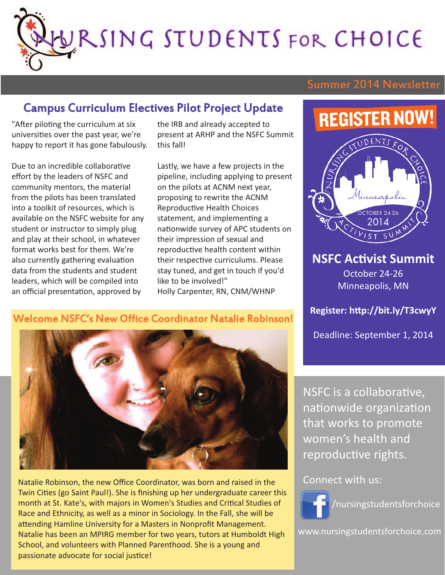WRSING STUDENTS FOR CHOICE

### Summer 2014 Newsletter

### Campus Curriculum Electives Pilot Project Update

"After piloting the curriculum at six universities over the past year, we're happy to report it has gone fabulously.

Due to an incredible collaborative effort by the leaders of NSFC and community mentors, the material from the pilots has been translated into a toolkit of resources, which is available on the NSFC website for any student or instructor to simply plug and play at their school, in whatever format works best for them. We're also currently gathering evaluation data from the students and student leaders, which will be compiled into an official presentation, approved by

the IRB and already accepted to present at ARHP and the NSFC Summit this fall!

Lastly, we have a few projects in the pipeline, including applying to present on the pilots at ACNM next year, proposing to rewrite the ACNM Reproductive Health Choices statement, and implementing a nationwide survey of APC students on their impression of sexual and reproductive health content within their respective curriculums. Please stay tuned, and get in touch if you'd like to be involved!" Holly Carpenter, RN, CNM/WHNP

### Welcome NSFC's New Office Coordinator Natalie Robinson!



Natalie Robinson, the new Office Coordinator, was born and raised in the Twin Cities (go Saint Paul!). She is finishing up her undergraduate career this month at St. Kate's, with majors in Women's Studies and Critical Studies of Race and Ethnicity, as well as a minor in Sociology. In the Fall, she will be attending Hamline University for a Masters in Nonprofit Management. Natalie has been an MPIRG member for two years, tutors at Humboldt High School, and volunteers with Planned Parenthood. She is a young and passionate advocate for social justice!

NSFC is a collaborative, nationwide organization that works to promote women's health and reproductive rights.

#### Connect with us:



www.nursingstudentsforchoice.com

# **REGISTER NOW!**



**NSFC Activist Summit** October 24-26 Minneapolis, MN

**Register: http://bit.ly/T3cwyY**

Deadline: September 1, 2014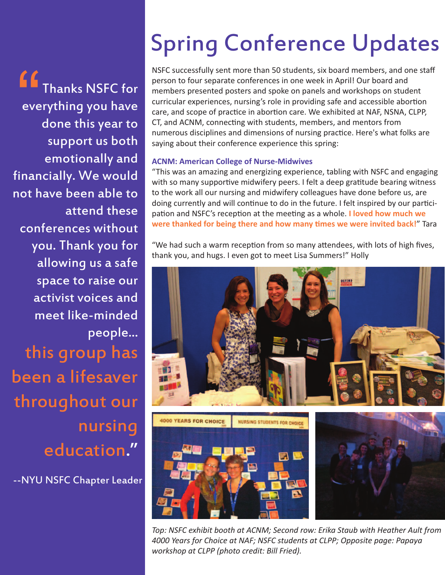Thanks NSFC for everything you have done this year to support us both emotionally and financially. We would not have been able to attend these conferences without you. Thank you for allowing us a safe space to raise our activist voices and meet like-minded people... this group has been a lifesaver throughout our nursing education." **"** 

--NYU NSFC Chapter Leader

# Spring Conference Updates

NSFC successfully sent more than 50 students, six board members, and one staff person to four separate conferences in one week in April! Our board and members presented posters and spoke on panels and workshops on student curricular experiences, nursing's role in providing safe and accessible abortion care, and scope of practice in abortion care. We exhibited at NAF, NSNA, CLPP, CT, and ACNM, connecting with students, members, and mentors from numerous disciplines and dimensions of nursing practice. Here's what folks are saying about their conference experience this spring:

#### **ACNM: American College of Nurse-Midwives**

"This was an amazing and energizing experience, tabling with NSFC and engaging with so many supportive midwifery peers. I felt a deep gratitude bearing witness to the work all our nursing and midwifery colleagues have done before us, are doing currently and will continue to do in the future. I felt inspired by our participation and NSFC's reception at the meeting as a whole. **I loved how much we were thanked for being there and how many times we were invited back!**" Tara

"We had such a warm reception from so many attendees, with lots of high fives, thank you, and hugs. I even got to meet Lisa Summers!" Holly



*Top: NSFC exhibit booth at ACNM; Second row: Erika Staub with Heather Ault from 4000 Years for Choice at NAF; NSFC students at CLPP; Opposite page: Papaya workshop at CLPP (photo credit: Bill Fried).*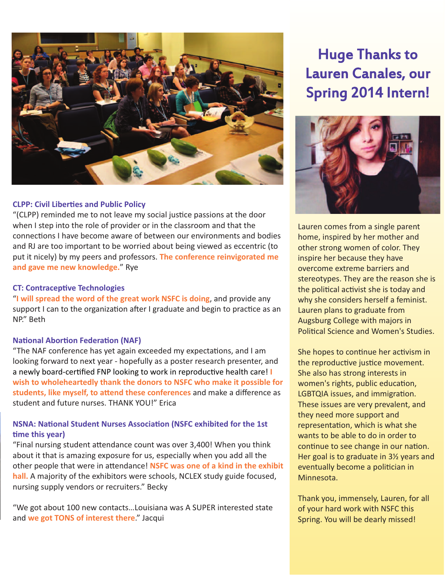

#### **CLPP: Civil Liberties and Public Policy**

"(CLPP) reminded me to not leave my social justice passions at the door when I step into the role of provider or in the classroom and that the connections I have become aware of between our environments and bodies and RJ are too important to be worried about being viewed as eccentric (to put it nicely) by my peers and professors. **The conference reinvigorated me and gave me new knowledge.**" Rye

#### **CT: Contraceptive Technologies**

"**I will spread the word of the great work NSFC is doing**, and provide any support I can to the organization after I graduate and begin to practice as an NP." Beth

#### **National Abortion Federation (NAF)**

"The NAF conference has yet again exceeded my expectations, and I am looking forward to next year - hopefully as a poster research presenter, and a newly board-certified FNP looking to work in reproductive health care! **I wish to wholeheartedly thank the donors to NSFC who make it possible for students, like myself, to attend these conferences** and make a difference as student and future nurses. THANK YOU!" Erica

#### **NSNA: National Student Nurses Association (NSFC exhibited for the 1st time this year)**

"Final nursing student attendance count was over 3,400! When you think about it that is amazing exposure for us, especially when you add all the other people that were in attendance! **NSFC was one of a kind in the exhibit hall.** A majority of the exhibitors were schools, NCLEX study guide focused, nursing supply vendors or recruiters." Becky

"We got about 100 new contacts…Louisiana was A SUPER interested state and **we got TONS of interest there**." Jacqui

### Huge Thanks to Lauren Canales, our Spring 2014 Intern!



Lauren comes from a single parent home, inspired by her mother and other strong women of color. They inspire her because they have overcome extreme barriers and stereotypes. They are the reason she is the political activist she is today and why she considers herself a feminist. Lauren plans to graduate from Augsburg College with majors in Political Science and Women's Studies.

She hopes to continue her activism in the reproductive justice movement. She also has strong interests in women's rights, public education, LGBTQIA issues, and immigration. These issues are very prevalent, and they need more support and representation, which is what she wants to be able to do in order to continue to see change in our nation. Her goal is to graduate in 3½ years and eventually become a politician in Minnesota.

Thank you, immensely, Lauren, for all of your hard work with NSFC this Spring. You will be dearly missed!